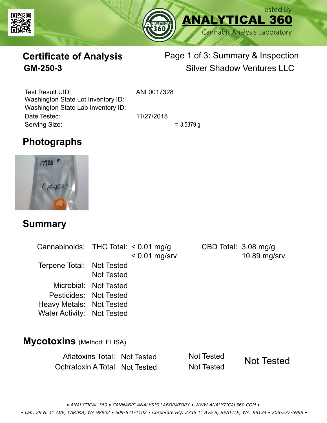



# **Certificate of Analysis**

# Page 1 of 3: Summary & Inspection **GM-250-3** Silver Shadow Ventures LLC

Serving Size:  $= 3.5379 g$ Test Result UID: ANL0017328 Date Tested: 11/27/2018 Washington State Lot Inventory ID: Washington State Lab Inventory ID:

# **Photographs**



### **Summary**

| Cannabinoids: THC Total: $< 0.01$ mg/g |                       | $< 0.01$ mg/srv | CBD Total: 3.08 mg/g | 10.89 mg/srv |  |  |  |
|----------------------------------------|-----------------------|-----------------|----------------------|--------------|--|--|--|
| Terpene Total: Not Tested              | <b>Not Tested</b>     |                 |                      |              |  |  |  |
|                                        | Microbial: Not Tested |                 |                      |              |  |  |  |
| Pesticides: Not Tested                 |                       |                 |                      |              |  |  |  |
| Heavy Metals: Not Tested               |                       |                 |                      |              |  |  |  |
| <b>Water Activity: Not Tested</b>      |                       |                 |                      |              |  |  |  |
|                                        |                       |                 |                      |              |  |  |  |
| <b>Mycotoxins</b> (Method: ELISA)      |                       |                 |                      |              |  |  |  |

Aflatoxins Total: Not Tested Not Tested Ochratoxin A Total: Not Tested Not Tested Not Tested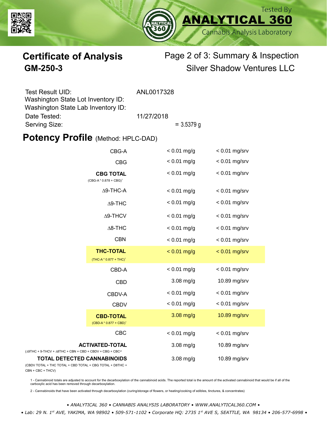



# **Certificate of Analysis** Page 2 of 3: Summary & Inspection **GM-250-3** Silver Shadow Ventures LLC

| Test Result UID:                   | ANL0017328   |  |
|------------------------------------|--------------|--|
| Washington State Lot Inventory ID: |              |  |
| Washington State Lab Inventory ID: |              |  |
| Date Tested:                       | 11/27/2018   |  |
| Serving Size:                      | $= 3.5379$ g |  |

### **Potency Profile (Method: HPLC-DAD)**

| CBG-A                                                                                             |                                                        | $< 0.01$ mg/g | $< 0.01$ mg/srv |
|---------------------------------------------------------------------------------------------------|--------------------------------------------------------|---------------|-----------------|
|                                                                                                   | <b>CBG</b>                                             | $< 0.01$ mg/g | $< 0.01$ mg/srv |
| <b>CBG TOTAL</b><br>$(CBG-A * 0.878 + CBG)^1$                                                     |                                                        | $< 0.01$ mg/g | $< 0.01$ mg/srv |
|                                                                                                   | $\Delta$ 9-THC-A                                       | $< 0.01$ mg/g | $< 0.01$ mg/srv |
| $\Delta$ 9-THC                                                                                    |                                                        | $< 0.01$ mg/g | $< 0.01$ mg/srv |
|                                                                                                   | $\Delta$ 9-THCV                                        | $< 0.01$ mg/g | $< 0.01$ mg/srv |
|                                                                                                   | $\Delta$ 8-THC                                         | $< 0.01$ mg/g | $< 0.01$ mg/srv |
|                                                                                                   | <b>CBN</b>                                             | $< 0.01$ mg/g | $< 0.01$ mg/srv |
|                                                                                                   | <b>THC-TOTAL</b><br>(THC-A * 0.877 + THC) <sup>1</sup> | $< 0.01$ mg/g | $< 0.01$ mg/srv |
|                                                                                                   | CBD-A                                                  | $< 0.01$ mg/g | $< 0.01$ mg/srv |
|                                                                                                   | <b>CBD</b>                                             | $3.08$ mg/g   | 10.89 mg/srv    |
|                                                                                                   | CBDV-A                                                 | $< 0.01$ mg/g | $< 0.01$ mg/srv |
|                                                                                                   | <b>CBDV</b>                                            | $< 0.01$ mg/g | $< 0.01$ mg/srv |
|                                                                                                   | <b>CBD-TOTAL</b><br>$(CBD-A * 0.877 + CBD)^1$          | $3.08$ mg/g   | 10.89 mg/srv    |
|                                                                                                   | <b>CBC</b>                                             | $< 0.01$ mg/g | $< 0.01$ mg/srv |
| <b>ACTIVATED-TOTAL</b><br>$(\Delta 9THC + 9-THCV + \Delta 8THC + CBN + CBD + CBDV + CBC + CBC)^2$ |                                                        | $3.08$ mg/g   | 10.89 mg/srv    |
| <b>TOTAL DETECTED CANNABINOIDS</b><br>(CBDV TOTAL + THC TOTAL + CBD TOTAL + CBG TOTAL + D8THC +   |                                                        | $3.08$ mg/g   | 10.89 mg/srv    |

(CBDV TOTAL + THC TOTAL CBN + CBC + THCV)

1 - Cannabinoid totals are adjusted to account for the decarboxylation of the cannabinoid acids. The reported total is the amount of the activated cannabinoid that would be if all of the<br>carboxylic acid has been removed th

2 - Cannabinoids that have been activated through decarboxylation (curing/storage of flowers, or heating/cooking of edibles, tinctures, & concentrates)

*• ANALYTICAL 360 • CANNABIS ANALYSIS LABORATORY • WWW.ANALYTICAL360.COM • • Lab: 29 N. 1st AVE, YAKIMA, WA 98902 • 509-571-1102 • Corporate HQ: 2735 1st AVE S, SEATTLE, WA 98134 • 206-577-6998 •*